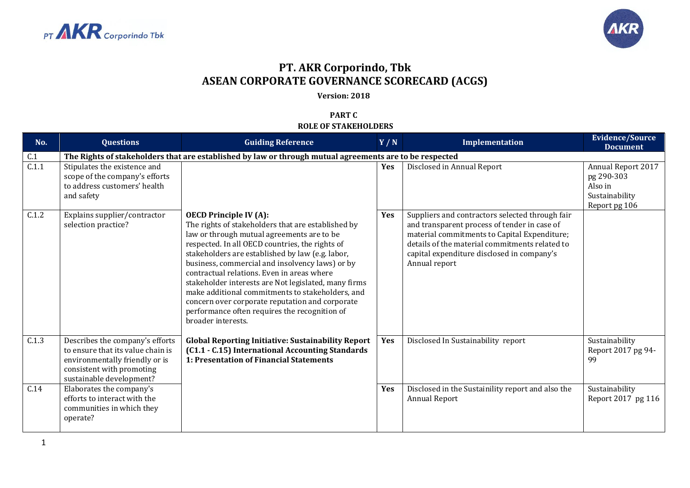



## **PT. AKR Corporindo, Tbk ASEAN CORPORATE GOVERNANCE SCORECARD (ACGS)**

**Version: 2018**

**PART C ROLE OF STAKEHOLDERS**

| No.   | <b>Questions</b>                                                                                                                                                | <b>Guiding Reference</b>                                                                                                                                                                                                                                                                                                                                                                                                                                                                                                                                                        | Y/N        | Implementation                                                                                                                                                                                                                                                   | <b>Evidence/Source</b><br><b>Document</b>                                      |  |  |
|-------|-----------------------------------------------------------------------------------------------------------------------------------------------------------------|---------------------------------------------------------------------------------------------------------------------------------------------------------------------------------------------------------------------------------------------------------------------------------------------------------------------------------------------------------------------------------------------------------------------------------------------------------------------------------------------------------------------------------------------------------------------------------|------------|------------------------------------------------------------------------------------------------------------------------------------------------------------------------------------------------------------------------------------------------------------------|--------------------------------------------------------------------------------|--|--|
| C.1   | The Rights of stakeholders that are established by law or through mutual agreements are to be respected                                                         |                                                                                                                                                                                                                                                                                                                                                                                                                                                                                                                                                                                 |            |                                                                                                                                                                                                                                                                  |                                                                                |  |  |
| C.1.1 | Stipulates the existence and<br>scope of the company's efforts<br>to address customers' health<br>and safety                                                    |                                                                                                                                                                                                                                                                                                                                                                                                                                                                                                                                                                                 | <b>Yes</b> | Disclosed in Annual Report                                                                                                                                                                                                                                       | Annual Report 2017<br>pg 290-303<br>Also in<br>Sustainability<br>Report pg 106 |  |  |
| C.1.2 | Explains supplier/contractor<br>selection practice?                                                                                                             | <b>OECD Principle IV (A):</b><br>The rights of stakeholders that are established by<br>law or through mutual agreements are to be<br>respected. In all OECD countries, the rights of<br>stakeholders are established by law (e.g. labor,<br>business, commercial and insolvency laws) or by<br>contractual relations. Even in areas where<br>stakeholder interests are Not legislated, many firms<br>make additional commitments to stakeholders, and<br>concern over corporate reputation and corporate<br>performance often requires the recognition of<br>broader interests. | Yes        | Suppliers and contractors selected through fair<br>and transparent process of tender in case of<br>material commitments to Capital Expenditure;<br>details of the material commitments related to<br>capital expenditure disclosed in company's<br>Annual report |                                                                                |  |  |
| C.1.3 | Describes the company's efforts<br>to ensure that its value chain is<br>environmentally friendly or is<br>consistent with promoting<br>sustainable development? | <b>Global Reporting Initiative: Sustainability Report</b><br>(C1.1 - C.15) International Accounting Standards<br>1: Presentation of Financial Statements                                                                                                                                                                                                                                                                                                                                                                                                                        | Yes        | Disclosed In Sustainability report                                                                                                                                                                                                                               | Sustainability<br>Report 2017 pg 94-<br>99                                     |  |  |
| C.14  | Elaborates the company's<br>efforts to interact with the<br>communities in which they<br>operate?                                                               |                                                                                                                                                                                                                                                                                                                                                                                                                                                                                                                                                                                 | Yes        | Disclosed in the Sustainility report and also the<br>Annual Report                                                                                                                                                                                               | Sustainability<br>Report 2017 pg 116                                           |  |  |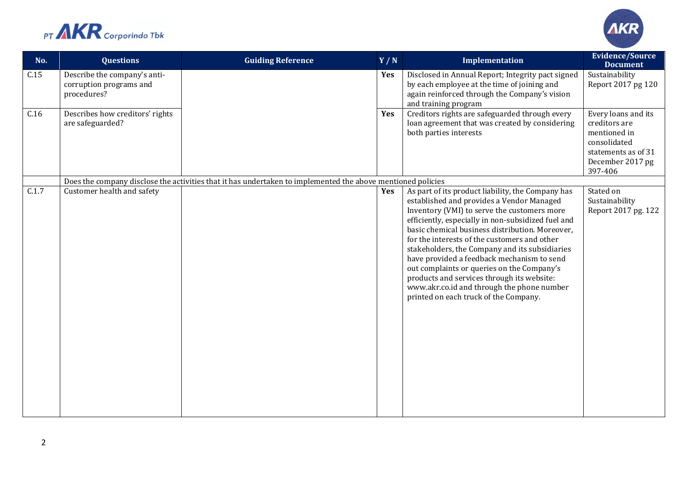



| No.   | <b>Questions</b>                                                       | <b>Guiding Reference</b>                                                                                    | Y/N | Implementation                                                                                                                                                                                                                                                                                                                                                                                                                                                                                                                                                                            | <b>Evidence/Source</b><br><b>Document</b>                                                                                  |
|-------|------------------------------------------------------------------------|-------------------------------------------------------------------------------------------------------------|-----|-------------------------------------------------------------------------------------------------------------------------------------------------------------------------------------------------------------------------------------------------------------------------------------------------------------------------------------------------------------------------------------------------------------------------------------------------------------------------------------------------------------------------------------------------------------------------------------------|----------------------------------------------------------------------------------------------------------------------------|
| C.15  | Describe the company's anti-<br>corruption programs and<br>procedures? |                                                                                                             | Yes | Disclosed in Annual Report; Integrity pact signed<br>by each employee at the time of joining and<br>again reinforced through the Company's vision<br>and training program                                                                                                                                                                                                                                                                                                                                                                                                                 | Sustainability<br>Report 2017 pg 120                                                                                       |
| C.16  | Describes how creditors' rights<br>are safeguarded?                    |                                                                                                             | Yes | Creditors rights are safeguarded through every<br>loan agreement that was created by considering<br>both parties interests                                                                                                                                                                                                                                                                                                                                                                                                                                                                | Every loans and its<br>creditors are<br>mentioned in<br>consolidated<br>statements as of 31<br>December 2017 pg<br>397-406 |
|       |                                                                        | Does the company disclose the activities that it has undertaken to implemented the above mentioned policies |     |                                                                                                                                                                                                                                                                                                                                                                                                                                                                                                                                                                                           |                                                                                                                            |
| C.1.7 | Customer health and safety                                             |                                                                                                             | Yes | As part of its product liability, the Company has<br>established and provides a Vendor Managed<br>Inventory (VMI) to serve the customers more<br>efficiently, especially in non-subsidized fuel and<br>basic chemical business distribution. Moreover,<br>for the interests of the customers and other<br>stakeholders, the Company and its subsidiaries<br>have provided a feedback mechanism to send<br>out complaints or queries on the Company's<br>products and services through its website:<br>www.akr.co.id and through the phone number<br>printed on each truck of the Company. | Stated on<br>Sustainability<br>Report 2017 pg. 122                                                                         |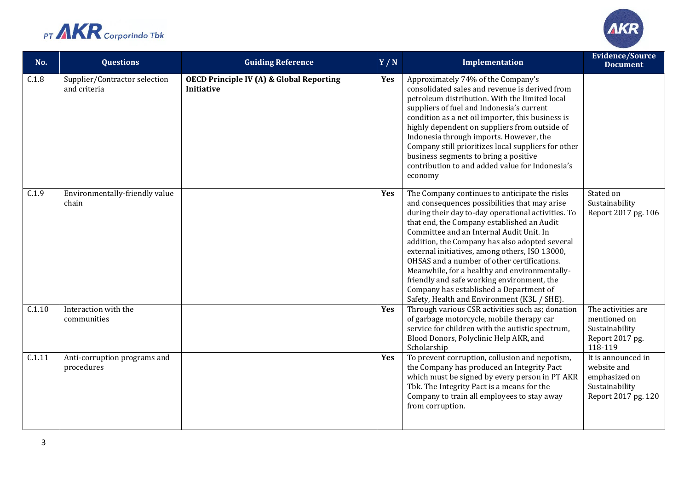



| No.    | <b>Questions</b>                              | <b>Guiding Reference</b>                                                 | Y/N | Implementation                                                                                                                                                                                                                                                                                                                                                                                                                                                                                                                                                                             | <b>Evidence/Source</b><br><b>Document</b>                                                   |
|--------|-----------------------------------------------|--------------------------------------------------------------------------|-----|--------------------------------------------------------------------------------------------------------------------------------------------------------------------------------------------------------------------------------------------------------------------------------------------------------------------------------------------------------------------------------------------------------------------------------------------------------------------------------------------------------------------------------------------------------------------------------------------|---------------------------------------------------------------------------------------------|
| C.1.8  | Supplier/Contractor selection<br>and criteria | <b>OECD Principle IV (A) &amp; Global Reporting</b><br><b>Initiative</b> | Yes | Approximately 74% of the Company's<br>consolidated sales and revenue is derived from<br>petroleum distribution. With the limited local<br>suppliers of fuel and Indonesia's current<br>condition as a net oil importer, this business is<br>highly dependent on suppliers from outside of<br>Indonesia through imports. However, the<br>Company still prioritizes local suppliers for other<br>business segments to bring a positive<br>contribution to and added value for Indonesia's<br>economy                                                                                         |                                                                                             |
| C.1.9  | Environmentally-friendly value<br>chain       |                                                                          | Yes | The Company continues to anticipate the risks<br>and consequences possibilities that may arise<br>during their day to-day operational activities. To<br>that end, the Company established an Audit<br>Committee and an Internal Audit Unit. In<br>addition, the Company has also adopted several<br>external initiatives, among others, ISO 13000,<br>OHSAS and a number of other certifications.<br>Meanwhile, for a healthy and environmentally-<br>friendly and safe working environment, the<br>Company has established a Department of<br>Safety, Health and Environment (K3L / SHE). | Stated on<br>Sustainability<br>Report 2017 pg. 106                                          |
| C.1.10 | Interaction with the<br>communities           |                                                                          | Yes | Through various CSR activities such as; donation<br>of garbage motorcycle, mobile therapy car<br>service for children with the autistic spectrum,<br>Blood Donors, Polyclinic Help AKR, and<br>Scholarship                                                                                                                                                                                                                                                                                                                                                                                 | The activities are<br>mentioned on<br>Sustainability<br>Report 2017 pg.<br>118-119          |
| C.1.11 | Anti-corruption programs and<br>procedures    |                                                                          | Yes | To prevent corruption, collusion and nepotism,<br>the Company has produced an Integrity Pact<br>which must be signed by every person in PT AKR<br>Tbk. The Integrity Pact is a means for the<br>Company to train all employees to stay away<br>from corruption.                                                                                                                                                                                                                                                                                                                            | It is announced in<br>website and<br>emphasized on<br>Sustainability<br>Report 2017 pg. 120 |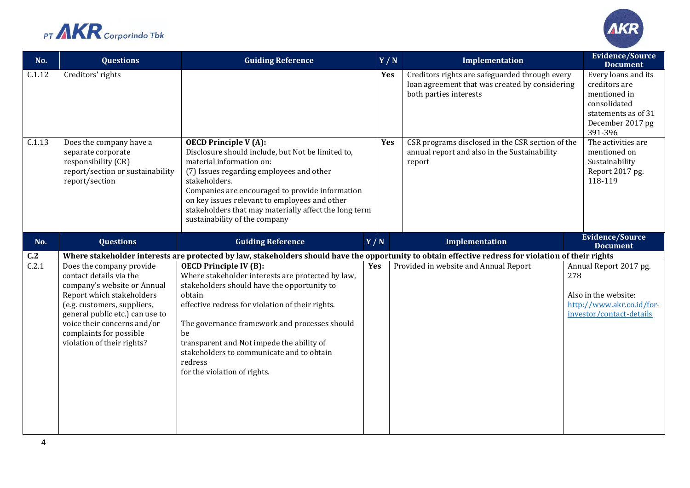



| No.          | <b>Questions</b>                                                                                                                                                                                                                                                          | <b>Guiding Reference</b>                                                                                                                                                                                                                                                                                                                                                                                                                                                                                                                            | Y/N | Implementation                                                                                                             |     | <b>Evidence/Source</b><br><b>Document</b>                                                                                  |
|--------------|---------------------------------------------------------------------------------------------------------------------------------------------------------------------------------------------------------------------------------------------------------------------------|-----------------------------------------------------------------------------------------------------------------------------------------------------------------------------------------------------------------------------------------------------------------------------------------------------------------------------------------------------------------------------------------------------------------------------------------------------------------------------------------------------------------------------------------------------|-----|----------------------------------------------------------------------------------------------------------------------------|-----|----------------------------------------------------------------------------------------------------------------------------|
| C.1.12       | Creditors' rights                                                                                                                                                                                                                                                         |                                                                                                                                                                                                                                                                                                                                                                                                                                                                                                                                                     | Yes | Creditors rights are safeguarded through every<br>loan agreement that was created by considering<br>both parties interests |     | Every loans and its<br>creditors are<br>mentioned in<br>consolidated<br>statements as of 31<br>December 2017 pg<br>391-396 |
| C.1.13       | Does the company have a<br>separate corporate<br>responsibility (CR)<br>report/section or sustainability<br>report/section                                                                                                                                                | <b>OECD Principle V (A):</b><br>Disclosure should include, but Not be limited to,<br>material information on:<br>(7) Issues regarding employees and other<br>stakeholders.<br>Companies are encouraged to provide information<br>on key issues relevant to employees and other<br>stakeholders that may materially affect the long term<br>sustainability of the company                                                                                                                                                                            | Yes | CSR programs disclosed in the CSR section of the<br>annual report and also in the Sustainability<br>report                 |     | The activities are<br>mentioned on<br>Sustainability<br>Report 2017 pg.<br>118-119                                         |
| No.          | <b>Questions</b>                                                                                                                                                                                                                                                          | <b>Guiding Reference</b>                                                                                                                                                                                                                                                                                                                                                                                                                                                                                                                            | Y/N | Implementation                                                                                                             |     | <b>Evidence/Source</b><br><b>Document</b>                                                                                  |
| C.2<br>C.2.1 | Does the company provide<br>contact details via the<br>company's website or Annual<br>Report which stakeholders<br>(e.g. customers, suppliers,<br>general public etc.) can use to<br>voice their concerns and/or<br>complaints for possible<br>violation of their rights? | Where stakeholder interests are protected by law, stakeholders should have the opportunity to obtain effective redress for violation of their rights<br><b>OECD Principle IV (B):</b><br>Where stakeholder interests are protected by law,<br>stakeholders should have the opportunity to<br>obtain<br>effective redress for violation of their rights.<br>The governance framework and processes should<br>be<br>transparent and Not impede the ability of<br>stakeholders to communicate and to obtain<br>redress<br>for the violation of rights. | Yes | Provided in website and Annual Report                                                                                      | 278 | Annual Report 2017 pg.<br>Also in the website:<br>http://www.akr.co.id/for-<br>investor/contact-details                    |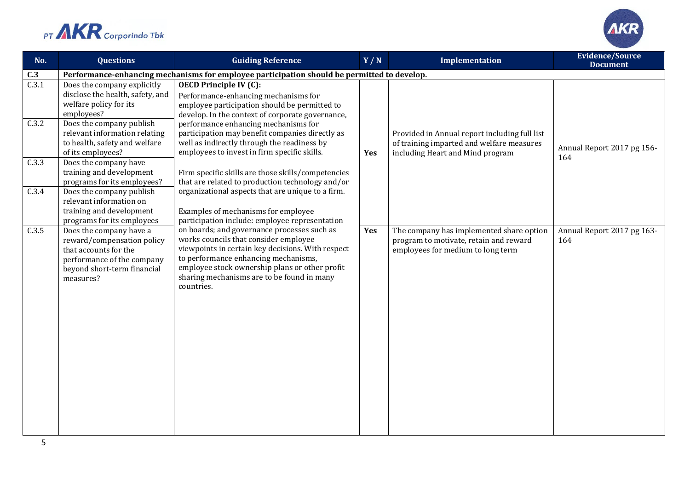



| No.   | <b>Questions</b>                                                                                                                                         | <b>Guiding Reference</b>                                                                                                                                                                                                                                                                        | Y/N | Implementation                                                                                                                 | <b>Evidence/Source</b><br><b>Document</b> |  |  |  |
|-------|----------------------------------------------------------------------------------------------------------------------------------------------------------|-------------------------------------------------------------------------------------------------------------------------------------------------------------------------------------------------------------------------------------------------------------------------------------------------|-----|--------------------------------------------------------------------------------------------------------------------------------|-------------------------------------------|--|--|--|
| C.3   | Performance-enhancing mechanisms for employee participation should be permitted to develop.                                                              |                                                                                                                                                                                                                                                                                                 |     |                                                                                                                                |                                           |  |  |  |
| C.3.1 | Does the company explicitly<br>disclose the health, safety, and<br>welfare policy for its<br>employees?                                                  | <b>OECD Principle IV (C):</b><br>Performance-enhancing mechanisms for<br>employee participation should be permitted to<br>develop. In the context of corporate governance,                                                                                                                      |     |                                                                                                                                |                                           |  |  |  |
| C.3.2 | Does the company publish<br>relevant information relating<br>to health, safety and welfare<br>of its employees?                                          | performance enhancing mechanisms for<br>participation may benefit companies directly as<br>well as indirectly through the readiness by<br>employees to invest in firm specific skills.                                                                                                          | Yes | Provided in Annual report including full list<br>of training imparted and welfare measures<br>including Heart and Mind program | Annual Report 2017 pg 156-<br>164         |  |  |  |
| C.3.3 | Does the company have<br>training and development<br>programs for its employees?                                                                         | Firm specific skills are those skills/competencies<br>that are related to production technology and/or                                                                                                                                                                                          |     |                                                                                                                                |                                           |  |  |  |
| C.3.4 | Does the company publish<br>relevant information on<br>training and development<br>programs for its employees                                            | organizational aspects that are unique to a firm.<br>Examples of mechanisms for employee<br>participation include: employee representation                                                                                                                                                      |     |                                                                                                                                |                                           |  |  |  |
| C.3.5 | Does the company have a<br>reward/compensation policy<br>that accounts for the<br>performance of the company<br>beyond short-term financial<br>measures? | on boards; and governance processes such as<br>works councils that consider employee<br>viewpoints in certain key decisions. With respect<br>to performance enhancing mechanisms,<br>employee stock ownership plans or other profit<br>sharing mechanisms are to be found in many<br>countries. | Yes | The company has implemented share option<br>program to motivate, retain and reward<br>employees for medium to long term        | Annual Report 2017 pg 163-<br>164         |  |  |  |